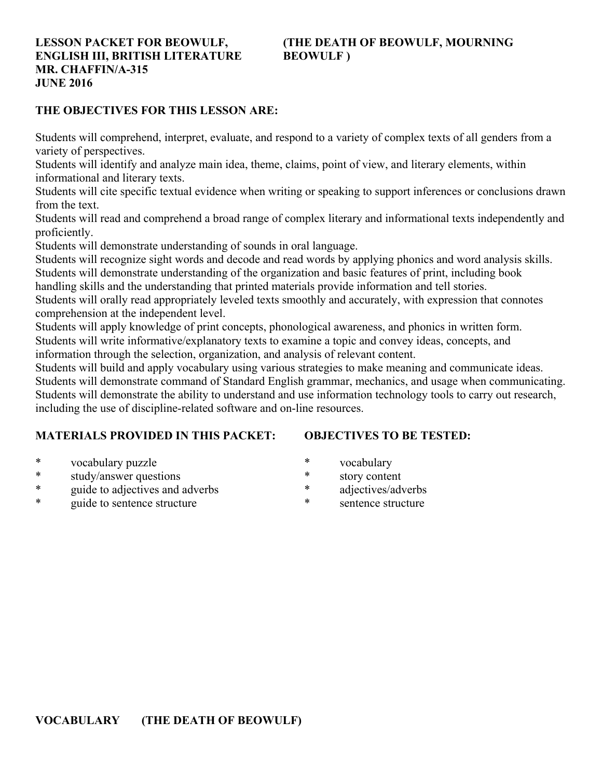## **ENGLISH III, BRITISH LITERATURE BEOWULF ) MR. CHAFFIN/A-315 JUNE 2016**

# **LESSON PACKET FOR BEOWULF, (THE DEATH OF BEOWULF, MOURNING**

## **THE OBJECTIVES FOR THIS LESSON ARE:**

Students will comprehend, interpret, evaluate, and respond to a variety of complex texts of all genders from a variety of perspectives.

Students will identify and analyze main idea, theme, claims, point of view, and literary elements, within informational and literary texts.

Students will cite specific textual evidence when writing or speaking to support inferences or conclusions drawn from the text.

Students will read and comprehend a broad range of complex literary and informational texts independently and proficiently.

Students will demonstrate understanding of sounds in oral language.

Students will recognize sight words and decode and read words by applying phonics and word analysis skills. Students will demonstrate understanding of the organization and basic features of print, including book

handling skills and the understanding that printed materials provide information and tell stories.

Students will orally read appropriately leveled texts smoothly and accurately, with expression that connotes comprehension at the independent level.

Students will apply knowledge of print concepts, phonological awareness, and phonics in written form. Students will write informative/explanatory texts to examine a topic and convey ideas, concepts, and

information through the selection, organization, and analysis of relevant content.

Students will build and apply vocabulary using various strategies to make meaning and communicate ideas. Students will demonstrate command of Standard English grammar, mechanics, and usage when communicating. Students will demonstrate the ability to understand and use information technology tools to carry out research, including the use of discipline-related software and on-line resources.

## **MATERIALS PROVIDED IN THIS PACKET:**

## **OBJECTIVES TO BE TESTED:**

- \* vocabulary puzzle
- \* study/answer questions
- \* guide to adjectives and adverbs
- guide to sentence structure
- \* vocabulary
- \* story content
- \* adjectives/adverbs
- sentence structure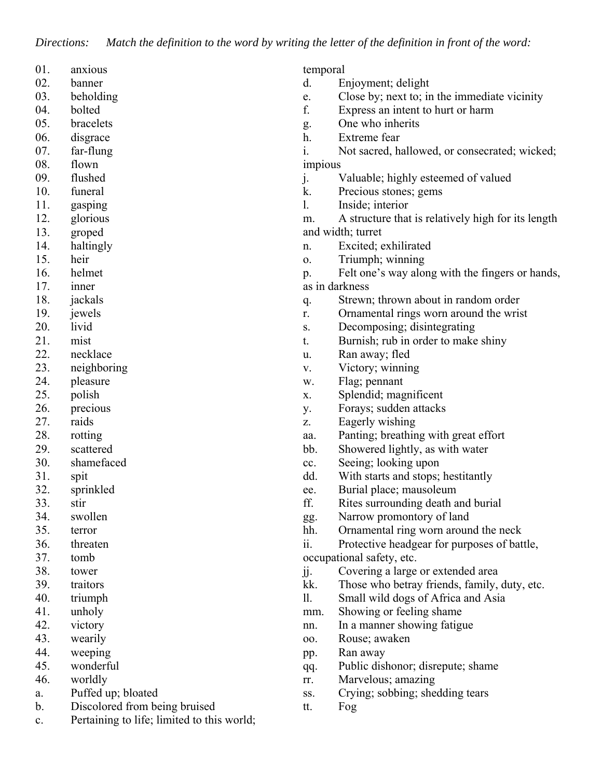*Directions: Match the definition to the word by writing the letter of the definition in front of the word:*

| 01. | anxious |
|-----|---------|
|     |         |

- 02. banner
- 03. beholding
- 04. bolted
- 05. bracelets
- 06. disgrace
- 07. far-flung
- 08. flown
- 09. flushed
- 10. funeral
- 11. gasping
- 12. glorious
- 13. groped
- 14. haltingly
- 15. heir
- 16. helmet
- 17. inner
- 18. jackals
- 19. jewels
- 20. livid
- 21. mist
- 22. necklace
- 23. neighboring
- 24. pleasure
- 25. polish
- 26. precious
- 27. raids
- 28. rotting
- 29. scattered
- 30. shamefaced
- 31. spit
- 32. sprinkled
- 33. stir
- 34. swollen
- 35. terror
- 36. threaten
- 37. tomb
- 38. tower
- 39. traitors
- 40. triumph
- 41. unholy
- 42. victory
- 43. wearily
- 44. weeping
- 45. wonderful
- 46. worldly
- a. Puffed up; bloated
- b. Discolored from being bruised
- c. Pertaining to life; limited to this world;

temporal

- d. Enjoyment; delight
- e. Close by; next to; in the immediate vicinity
- f. Express an intent to hurt or harm
- g. One who inherits
- h. Extreme fear
- i. Not sacred, hallowed, or consecrated; wicked; impious
- j. Valuable; highly esteemed of valued
- k. Precious stones; gems
- l. Inside; interior
- m. A structure that is relatively high for its length and width; turret
- n. Excited; exhilirated
- o. Triumph; winning
- p. Felt one's way along with the fingers or hands, as in darkness
- q. Strewn; thrown about in random order
- r. Ornamental rings worn around the wrist
- s. Decomposing; disintegrating
- t. Burnish; rub in order to make shiny
- u. Ran away; fled
- v. Victory; winning
- w. Flag; pennant
- x. Splendid; magnificent
- y. Forays; sudden attacks
- z. Eagerly wishing
- aa. Panting; breathing with great effort
- bb. Showered lightly, as with water
- cc. Seeing; looking upon
- dd. With starts and stops; hestitantly
- ee. Burial place; mausoleum
- ff. Rites surrounding death and burial
- gg. Narrow promontory of land
- hh. Ornamental ring worn around the neck
- ii. Protective headgear for purposes of battle,

occupational safety, etc.

- jj. Covering a large or extended area
- kk. Those who betray friends, family, duty, etc.
- ll. Small wild dogs of Africa and Asia
- mm. Showing or feeling shame
- nn. In a manner showing fatigue
- oo. Rouse; awaken
- pp. Ran away
- qq. Public dishonor; disrepute; shame
- rr. Marvelous; amazing
- ss. Crying; sobbing; shedding tears
- tt. Fog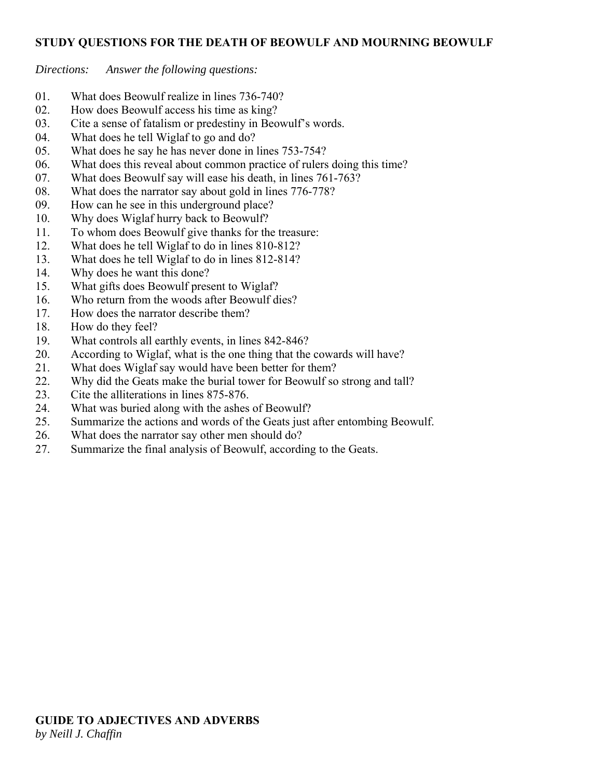#### **STUDY QUESTIONS FOR THE DEATH OF BEOWULF AND MOURNING BEOWULF**

*Directions: Answer the following questions:*

- 01. What does Beowulf realize in lines 736-740?
- 02. How does Beowulf access his time as king?
- 03. Cite a sense of fatalism or predestiny in Beowulf's words.
- 04. What does he tell Wiglaf to go and do?
- 05. What does he say he has never done in lines 753-754?
- 06. What does this reveal about common practice of rulers doing this time?
- 07. What does Beowulf say will ease his death, in lines 761-763?
- 08. What does the narrator say about gold in lines 776-778?
- 09. How can he see in this underground place?
- 10. Why does Wiglaf hurry back to Beowulf?
- 11. To whom does Beowulf give thanks for the treasure:
- 12. What does he tell Wiglaf to do in lines 810-812?
- 13. What does he tell Wiglaf to do in lines 812-814?
- 14. Why does he want this done?
- 15. What gifts does Beowulf present to Wiglaf?
- 16. Who return from the woods after Beowulf dies?
- 17. How does the narrator describe them?
- 18. How do they feel?
- 19. What controls all earthly events, in lines 842-846?
- 20. According to Wiglaf, what is the one thing that the cowards will have?
- 21. What does Wiglaf say would have been better for them?
- 22. Why did the Geats make the burial tower for Beowulf so strong and tall?
- 23. Cite the alliterations in lines 875-876.
- 24. What was buried along with the ashes of Beowulf?
- 25. Summarize the actions and words of the Geats just after entombing Beowulf.
- 26. What does the narrator say other men should do?
- 27. Summarize the final analysis of Beowulf, according to the Geats.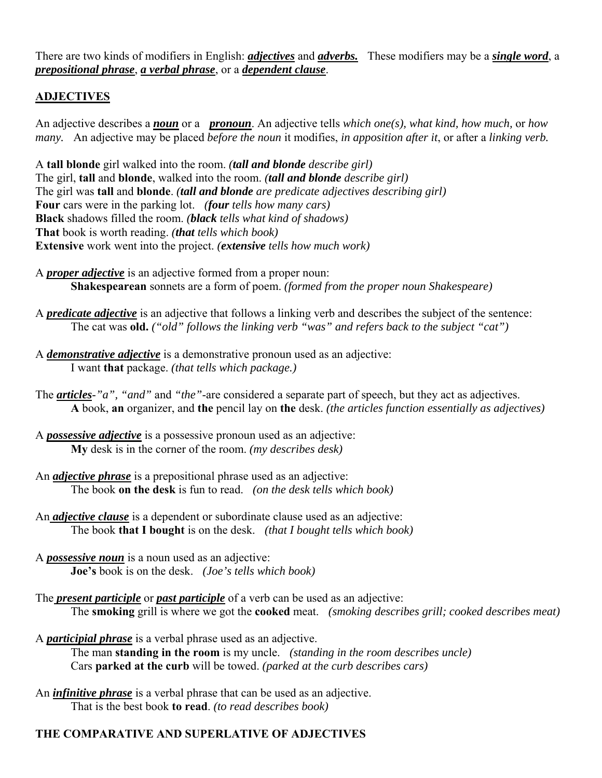There are two kinds of modifiers in English: *adjectives* and *adverbs.* These modifiers may be a *single word*, a *prepositional phrase*, *a verbal phrase*, or a *dependent clause*.

## **ADJECTIVES**

An adjective describes a *noun* or a *pronoun*. An adjective tells *which one(s), what kind, how much,* or *how many.* An adjective may be placed *before the noun* it modifies, *in apposition after it*, or after a *linking verb.*

A **tall blonde** girl walked into the room. *(tall and blonde describe girl)* The girl, **tall** and **blonde**, walked into the room. *(tall and blonde describe girl)* The girl was **tall** and **blonde**. *(tall and blonde are predicate adjectives describing girl)* **Four** cars were in the parking lot. *(four tells how many cars)* **Black** shadows filled the room. *(black tells what kind of shadows)* **That** book is worth reading. *(that tells which book)* **Extensive** work went into the project. *(extensive tells how much work)*

A *proper adjective* is an adjective formed from a proper noun:  **Shakespearean** sonnets are a form of poem. *(formed from the proper noun Shakespeare)*

A *predicate adjective* is an adjective that follows a linking verb and describes the subject of the sentence: The cat was **old.** *("old" follows the linking verb "was" and refers back to the subject "cat")*

A *demonstrative adjective* is a demonstrative pronoun used as an adjective: I want **that** package. *(that tells which package.)*

The *articles*-*"a", "and"* and *"the"*-are considered a separate part of speech, but they act as adjectives.  **A** book, **an** organizer, and **the** pencil lay on **the** desk. *(the articles function essentially as adjectives)*

- A *possessive adjective* is a possessive pronoun used as an adjective:  **My** desk is in the corner of the room. *(my describes desk)*
- An *adjective phrase* is a prepositional phrase used as an adjective: The book **on the desk** is fun to read. *(on the desk tells which book)*
- An *adjective clause* is a dependent or subordinate clause used as an adjective: The book **that I bought** is on the desk. *(that I bought tells which book)*
- A *possessive noun* is a noun used as an adjective: **Joe's** book is on the desk. *(Joe's tells which book)*
- The *present participle* or *past participle* of a verb can be used as an adjective: The **smoking** grill is where we got the **cooked** meat. *(smoking describes grill; cooked describes meat)*
- A *participial phrase* is a verbal phrase used as an adjective. The man **standing in the room** is my uncle. *(standing in the room describes uncle)* Cars **parked at the curb** will be towed. *(parked at the curb describes cars)*
- An *infinitive phrase* is a verbal phrase that can be used as an adjective. That is the best book **to read**. *(to read describes book)*

## **THE COMPARATIVE AND SUPERLATIVE OF ADJECTIVES**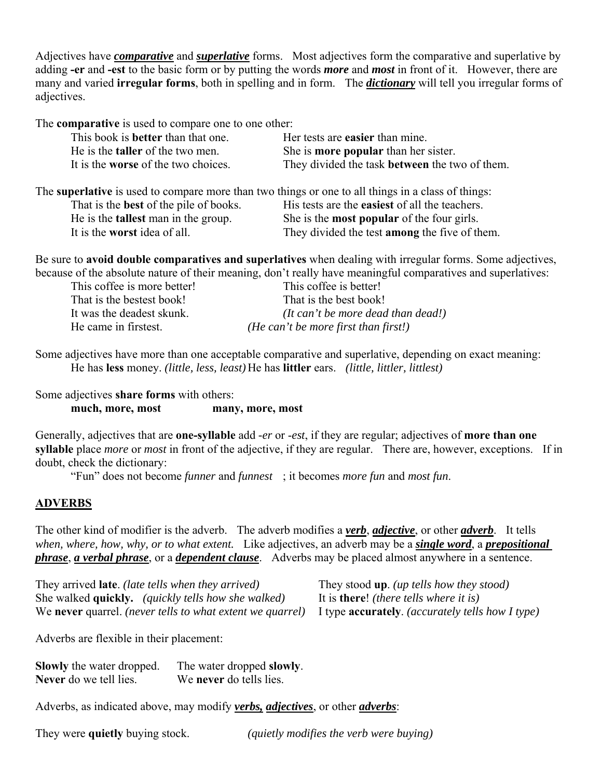Adjectives have *comparative* and *superlative* forms. Most adjectives form the comparative and superlative by adding **-er** and **-est** to the basic form or by putting the words *more* and *most* in front of it. However, there are many and varied **irregular forms**, both in spelling and in form. The *dictionary* will tell you irregular forms of adjectives.

The **comparative** is used to compare one to one other:

| This book is <b>better</b> than that one.                                                          | Her tests are <b>easier</b> than mine.                |
|----------------------------------------------------------------------------------------------------|-------------------------------------------------------|
| He is the <b>taller</b> of the two men.                                                            | She is <b>more popular</b> than her sister.           |
| It is the <b>worse</b> of the two choices.                                                         | They divided the task <b>between</b> the two of them. |
| The superlative is used to compare more than two things or one to all things in a class of things: |                                                       |
| That is the <b>best</b> of the pile of books.                                                      | His tests are the easiest of all the teachers.        |

 He is the **tallest** man in the group. She is the **most popular** of the four girls. It is the **worst** idea of all. They divided the test **among** the five of them.

Be sure to **avoid double comparatives and superlatives** when dealing with irregular forms. Some adjectives, because of the absolute nature of their meaning, don't really have meaningful comparatives and superlatives:

| This coffee is more better! | This coffee is better!               |
|-----------------------------|--------------------------------------|
| That is the bestest book!   | That is the best book!               |
| It was the deadest skunk.   | (It can't be more dead than dead!)   |
| He came in firstest.        | (He can't be more first than first!) |

Some adjectives have more than one acceptable comparative and superlative, depending on exact meaning: He has **less** money. *(little, less, least)* He has **littler** ears. *(little, littler, littlest)*

Some adjectives **share forms** with others:  **much, more, most many, more, most**

Generally, adjectives that are **one-syllable** add *-er* or -*est*, if they are regular; adjectives of **more than one syllable** place *more* or *most* in front of the adjective, if they are regular. There are, however, exceptions. If in doubt, check the dictionary:

"Fun" does not become *funner* and *funnest* ; it becomes *more fun* and *most fun*.

## **ADVERBS**

The other kind of modifier is the adverb. The adverb modifies a *verb*, *adjective*, or other *adverb*. It tells *when, where, how, why, or to what extent.* Like adjectives, an adverb may be a *single word*, a *prepositional phrase*, *a verbal phrase*, or a *dependent clause*. Adverbs may be placed almost anywhere in a sentence.

They arrived **late**. *(late tells when they arrived)* They stood **up**. *(up tells how they stood)* She walked **quickly.** *(quickly tells how she walked)* It is **there**! *(there tells where it is)* We **never** quarrel. *(never tells to what extent we quarrel)* I type **accurately**. *(accurately tells how I type)*

Adverbs are flexible in their placement:

**Slowly** the water dropped. The water dropped **slowly**. **Never** do we tell lies. We **never** do tells lies.

Adverbs, as indicated above, may modify *verbs, adjectives*, or other *adverbs*:

They were **quietly** buying stock. *(quietly modifies the verb were buying)*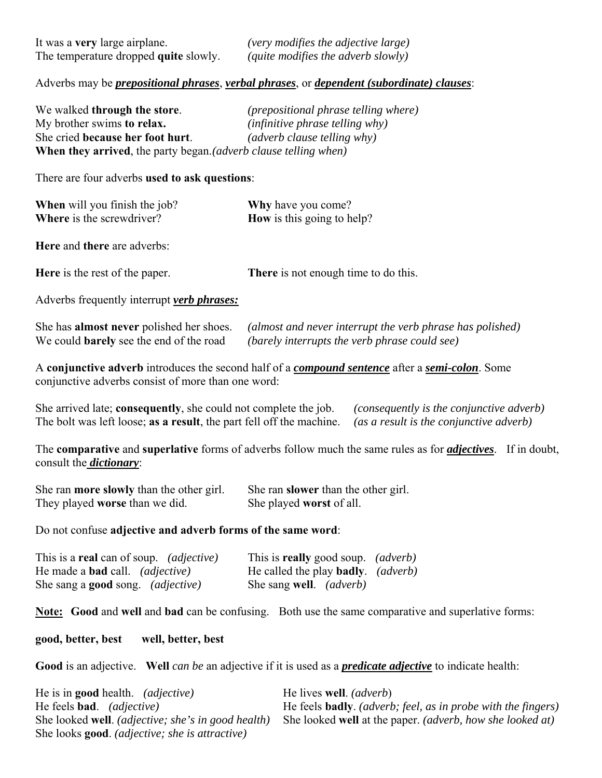## Adverbs may be *prepositional phrases*, *verbal phrases*, or *dependent (subordinate) clauses*:

| We walked through the store.                                             | <i>(prepositional phrase telling where)</i> |
|--------------------------------------------------------------------------|---------------------------------------------|
| My brother swims to relax.                                               | $(infinite)$ phrase telling why)            |
| She cried because her foot hurt.                                         | <i>(adverb clause telling why)</i>          |
| <b>When they arrived</b> , the party began. (adverb clause telling when) |                                             |

There are four adverbs **used to ask questions**:

| <b>When</b> will you finish the job? | <b>Why</b> have you come?         |
|--------------------------------------|-----------------------------------|
| <b>Where</b> is the screwdriver?     | <b>How</b> is this going to help? |
|                                      |                                   |

**Here** and **there** are adverbs:

**Here** is the rest of the paper. **There** is not enough time to do this.

Adverbs frequently interrupt *verb phrases:*

| She has <b>almost never</b> polished her shoes. | (almost and never interrupt the verb phrase has polished) |
|-------------------------------------------------|-----------------------------------------------------------|
| We could <b>barely</b> see the end of the road  | (barely interrupts the verb phrase could see)             |

A **conjunctive adverb** introduces the second half of a *compound sentence* after a *semi-colon*. Some conjunctive adverbs consist of more than one word:

She arrived late; **consequently**, she could not complete the job. *(consequently is the conjunctive adverb)* The bolt was left loose; **as a result**, the part fell off the machine. *(as a result is the conjunctive adverb)*

The **comparative** and **superlative** forms of adverbs follow much the same rules as for *adjectives*. If in doubt, consult the *dictionary*:

| She ran <b>more slowly</b> than the other girl. | She ran <b>slower</b> than the other girl. |
|-------------------------------------------------|--------------------------------------------|
| They played worse than we did.                  | She played worst of all.                   |

Do not confuse **adjective and adverb forms of the same word**:

| This is a <b>real</b> can of soup. <i>(adjective)</i> | This is <b>really</b> good soup. <i>(adverb)</i>  |  |
|-------------------------------------------------------|---------------------------------------------------|--|
| He made a <b>bad</b> call. <i>(adjective)</i>         | He called the play <b>badly</b> . <i>(adverb)</i> |  |
| She sang a <b>good</b> song. <i>(adjective)</i>       | She sang well. <i>(adverb)</i>                    |  |

**Note: Good** and **well** and **bad** can be confusing. Both use the same comparative and superlative forms:

#### **good, better, best well, better, best**

**Good** is an adjective. **Well** *can be* an adjective if it is used as a *predicate adjective* to indicate health:

| He is in <b>good</b> health. <i>(adjective)</i>               | He lives well. <i>(adverb)</i>                                              |
|---------------------------------------------------------------|-----------------------------------------------------------------------------|
| He feels <b>bad</b> . <i>(adjective)</i>                      | He feels <b>badly</b> . <i>(adverb; feel, as in probe with the fingers)</i> |
| She looked well. <i>(adjective; she's in good health)</i>     | She looked well at the paper. <i>(adverb, how she looked at)</i>            |
| She looks <b>good</b> . <i>(adjective; she is attractive)</i> |                                                                             |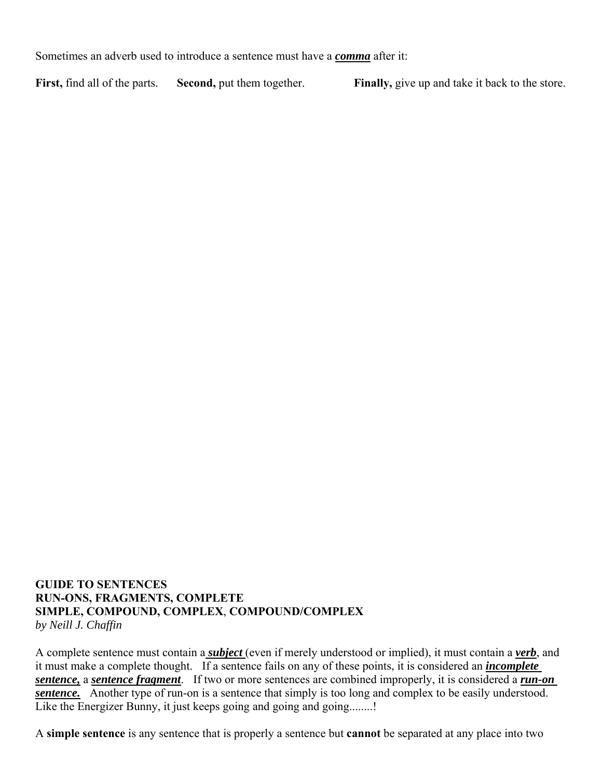Sometimes an adverb used to introduce a sentence must have a *comma* after it:

**First,** find all of the parts. **Second,** put them together. **Finally,** give up and take it back to the store.

#### **GUIDE TO SENTENCES RUN-ONS, FRAGMENTS, COMPLETE SIMPLE, COMPOUND, COMPLEX**, **COMPOUND/COMPLEX** *by Neill J. Chaffin*

A complete sentence must contain a *subject* (even if merely understood or implied), it must contain a *verb*, and it must make a complete thought. If a sentence fails on any of these points, it is considered an *incomplete sentence,* a *sentence fragment*. If two or more sentences are combined improperly, it is considered a *run-on sentence.* Another type of run-on is a sentence that simply is too long and complex to be easily understood. Like the Energizer Bunny, it just keeps going and going and going........!

A **simple sentence** is any sentence that is properly a sentence but **cannot** be separated at any place into two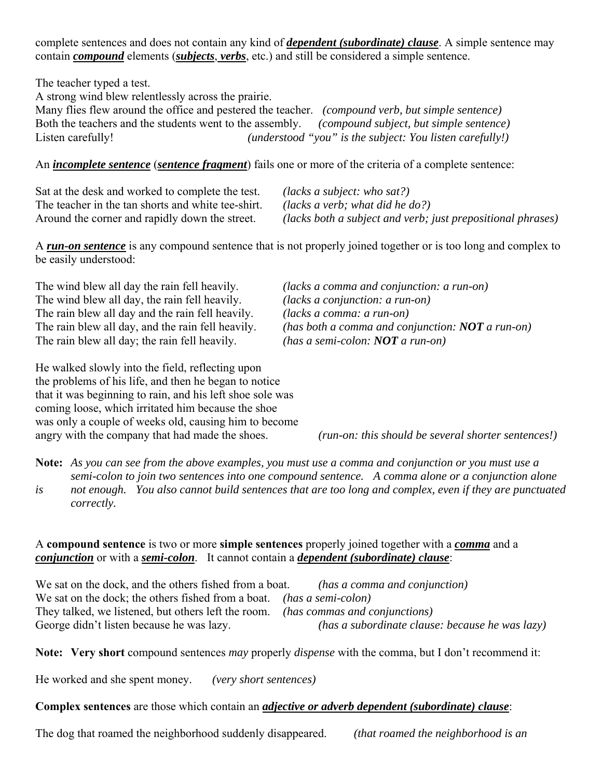complete sentences and does not contain any kind of *dependent (subordinate) clause*. A simple sentence may contain *compound* elements (*subjects*, *verbs*, etc.) and still be considered a simple sentence.

The teacher typed a test.

A strong wind blew relentlessly across the prairie.

Many flies flew around the office and pestered the teacher. *(compound verb, but simple sentence)* Both the teachers and the students went to the assembly. *(compound subject, but simple sentence)* Listen carefully! *(understood "you" is the subject: You listen carefully!)*

## An *incomplete sentence* (*sentence fragment*) fails one or more of the criteria of a complete sentence:

Sat at the desk and worked to complete the test. *(lacks a subject: who sat?)*  The teacher in the tan shorts and white tee-shirt. *(lacks a verb; what did he do?)*

Around the corner and rapidly down the street. *(lacks both a subject and verb; just prepositional phrases)* 

A *run-on sentence* is any compound sentence that is not properly joined together or is too long and complex to be easily understood:

The wind blew all day the rain fell heavily. *(lacks a comma and conjunction: a run-on)* The wind blew all day, the rain fell heavily. *(lacks a conjunction: a run-on)* The rain blew all day and the rain fell heavily. *(lacks a comma: a run-on)*<br>The rain blew all day, and the rain fell heavily. *(has both a comma and corn*) The rain blew all day; the rain fell heavily. *(has a semi-colon: NOT a run-on)*

He walked slowly into the field, reflecting upon the problems of his life, and then he began to notice that it was beginning to rain, and his left shoe sole was coming loose, which irritated him because the shoe was only a couple of weeks old, causing him to become angry with the company that had made the shoes. *(run-on: this should be several shorter sentences!)*

(has both a comma and conjunction: **NOT** a run-on)

**Note:** *As you can see from the above examples, you must use a comma and conjunction or you must use a semi-colon to join two sentences into one compound sentence. A comma alone or a conjunction alone is not enough. You also cannot build sentences that are too long and complex, even if they are punctuated correctly.*

#### A **compound sentence** is two or more **simple sentences** properly joined together with a *comma* and a *conjunction* or with a *semi-colon*. It cannot contain a *dependent (subordinate) clause*:

We sat on the dock, and the others fished from a boat. *(has a comma and conjunction)* We sat on the dock; the others fished from a boat. *(has a semi-colon)* They talked, we listened, but others left the room. *(has commas and conjunctions)* George didn't listen because he was lazy. *(has a subordinate clause: because he was lazy)*

**Note: Very short** compound sentences *may* properly *dispense* with the comma, but I don't recommend it:

He worked and she spent money. *(very short sentences)*

**Complex sentences** are those which contain an *adjective or adverb dependent (subordinate) clause*:

The dog that roamed the neighborhood suddenly disappeared. *(that roamed the neighborhood is an*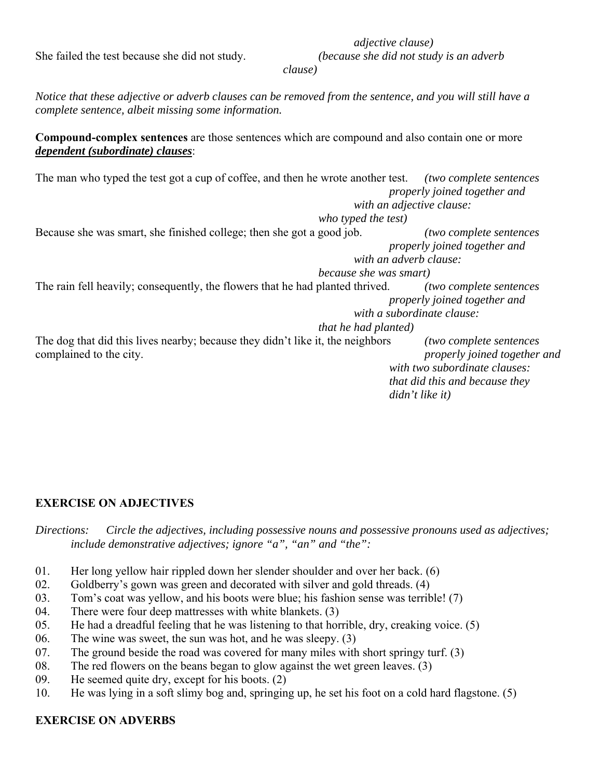She failed the test because she did not study. *(because she did not study is an adverb* 

 *clause)*

*Notice that these adjective or adverb clauses can be removed from the sentence, and you will still have a complete sentence, albeit missing some information.*

**Compound-complex sentences** are those sentences which are compound and also contain one or more *dependent (subordinate) clauses*:

The man who typed the test got a cup of coffee, and then he wrote another test. *(two complete sentences properly joined together and with an adjective clause: who typed the test)* Because she was smart, she finished college; then she got a good job. *(two complete sentences* 

 *properly joined together and with an adverb clause: because she was smart)*

The rain fell heavily; consequently, the flowers that he had planted thrived. *(two complete sentences properly joined together and with a subordinate clause: that he had planted)*

The dog that did this lives nearby; because they didn't like it, the neighbors *(two complete sentences*  complained to the city. *properly joined together and with two subordinate clauses: that did this and because they didn't like it)*

## **EXERCISE ON ADJECTIVES**

*Directions: Circle the adjectives, including possessive nouns and possessive pronouns used as adjectives; include demonstrative adjectives; ignore "a", "an" and "the":*

- 01. Her long yellow hair rippled down her slender shoulder and over her back. (6)
- 02. Goldberry's gown was green and decorated with silver and gold threads. (4)
- 03. Tom's coat was yellow, and his boots were blue; his fashion sense was terrible! (7)
- 04. There were four deep mattresses with white blankets. (3)
- 05. He had a dreadful feeling that he was listening to that horrible, dry, creaking voice. (5)
- 06. The wine was sweet, the sun was hot, and he was sleepy. (3)
- 07. The ground beside the road was covered for many miles with short springy turf. (3)
- 08. The red flowers on the beans began to glow against the wet green leaves. (3)
- 09. He seemed quite dry, except for his boots. (2)
- 10. He was lying in a soft slimy bog and, springing up, he set his foot on a cold hard flagstone. (5)

#### **EXERCISE ON ADVERBS**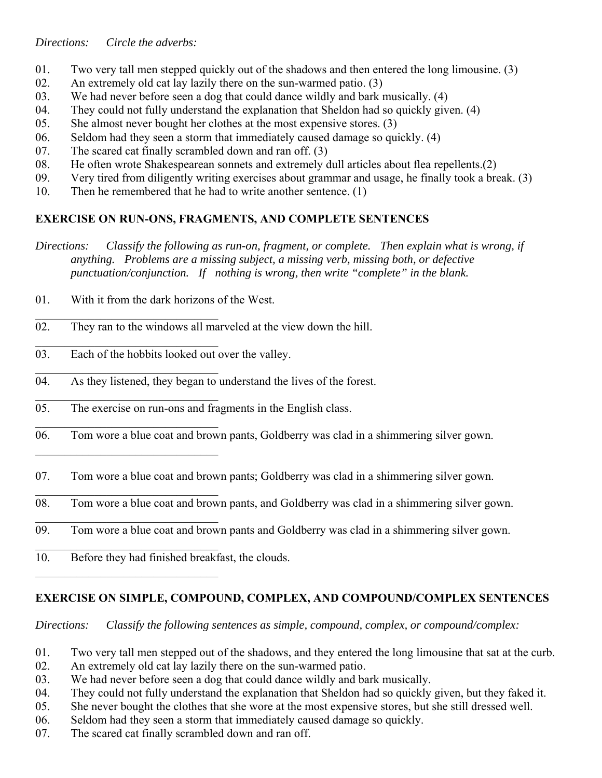*Directions: Circle the adverbs:* 

- 01. Two very tall men stepped quickly out of the shadows and then entered the long limousine. (3)
- 02. An extremely old cat lay lazily there on the sun-warmed patio. (3)
- 03. We had never before seen a dog that could dance wildly and bark musically. (4)
- 04. They could not fully understand the explanation that Sheldon had so quickly given. (4)
- 05. She almost never bought her clothes at the most expensive stores. (3)
- 06. Seldom had they seen a storm that immediately caused damage so quickly. (4)
- 07. The scared cat finally scrambled down and ran off. (3)
- 08. He often wrote Shakespearean sonnets and extremely dull articles about flea repellents.(2)
- 09. Very tired from diligently writing exercises about grammar and usage, he finally took a break. (3)
- 10. Then he remembered that he had to write another sentence. (1)

## **EXERCISE ON RUN-ONS, FRAGMENTS, AND COMPLETE SENTENCES**

- *Directions: Classify the following as run-on, fragment, or complete. Then explain what is wrong, if anything. Problems are a missing subject, a missing verb, missing both, or defective punctuation/conjunction. If nothing is wrong, then write "complete" in the blank.*
- 01. With it from the dark horizons of the West.
- 02. They ran to the windows all marveled at the view down the hill.
- 03. Each of the hobbits looked out over the valley.
- 04. As they listened, they began to understand the lives of the forest.
- 05. The exercise on run-ons and fragments in the English class.
- 06. Tom wore a blue coat and brown pants, Goldberry was clad in a shimmering silver gown.
- 07. Tom wore a blue coat and brown pants; Goldberry was clad in a shimmering silver gown.
- 08. Tom wore a blue coat and brown pants, and Goldberry was clad in a shimmering silver gown.
- 09. Tom wore a blue coat and brown pants and Goldberry was clad in a shimmering silver gown.
- 10. Before they had finished breakfast, the clouds.

 $\mathcal{L}_\text{max}$  , where  $\mathcal{L}_\text{max}$  and  $\mathcal{L}_\text{max}$ 

## **EXERCISE ON SIMPLE, COMPOUND, COMPLEX, AND COMPOUND/COMPLEX SENTENCES**

*Directions: Classify the following sentences as simple, compound, complex, or compound/complex:*

- 01. Two very tall men stepped out of the shadows, and they entered the long limousine that sat at the curb.
- 02. An extremely old cat lay lazily there on the sun-warmed patio.
- 03. We had never before seen a dog that could dance wildly and bark musically.
- 04. They could not fully understand the explanation that Sheldon had so quickly given, but they faked it.
- 05. She never bought the clothes that she wore at the most expensive stores, but she still dressed well.
- 06. Seldom had they seen a storm that immediately caused damage so quickly.
- 07. The scared cat finally scrambled down and ran off.